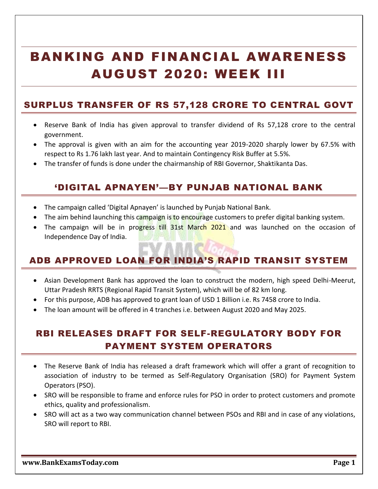# BANKING AND FINANCIAL AWARENESS AUGUST 2020: WEEK III

#### SURPLUS TRANSFER OF RS 57,128 CRORE TO CENTRAL GOVT

- Reserve Bank of India has given approval to transfer dividend of Rs 57,128 crore to the central government.
- The approval is given with an aim for the accounting year 2019-2020 sharply lower by 67.5% with respect to Rs 1.76 lakh last year. And to maintain Contingency Risk Buffer at 5.5%.
- The transfer of funds is done under the chairmanship of RBI Governor, Shaktikanta Das.

#### 'DIGITAL APNAYEN'—BY PUNJAB NATIONAL BANK

- The campaign called 'Digital Apnayen' is launched by Punjab National Bank.
- The aim behind launching this campaign is to encourage customers to prefer digital banking system.
- The campaign will be in progress till 31st March 2021 and was launched on the occasion of Independence Day of India.

### ADB APPROVED LOAN FOR INDIA'S RAPID TRANSIT SYSTEM

- Asian Development Bank has approved the loan to construct the modern, high speed Delhi-Meerut, Uttar Pradesh RRTS (Regional Rapid Transit System), which will be of 82 km long.
- For this purpose, ADB has approved to grant loan of USD 1 Billion i.e. Rs 7458 crore to India.
- The loan amount will be offered in 4 tranches i.e. between August 2020 and May 2025.

## RBI RELEASES DRAFT FOR SELF-REGULATORY BODY FOR PAYMENT SYSTEM OPERATORS

- The Reserve Bank of India has released a draft framework which will offer a grant of recognition to association of industry to be termed as Self-Regulatory Organisation (SRO) for Payment System Operators (PSO).
- SRO will be responsible to frame and enforce rules for PSO in order to protect customers and promote ethics, quality and professionalism.
- SRO will act as a two way communication channel between PSOs and RBI and in case of any violations, SRO will report to RBI.